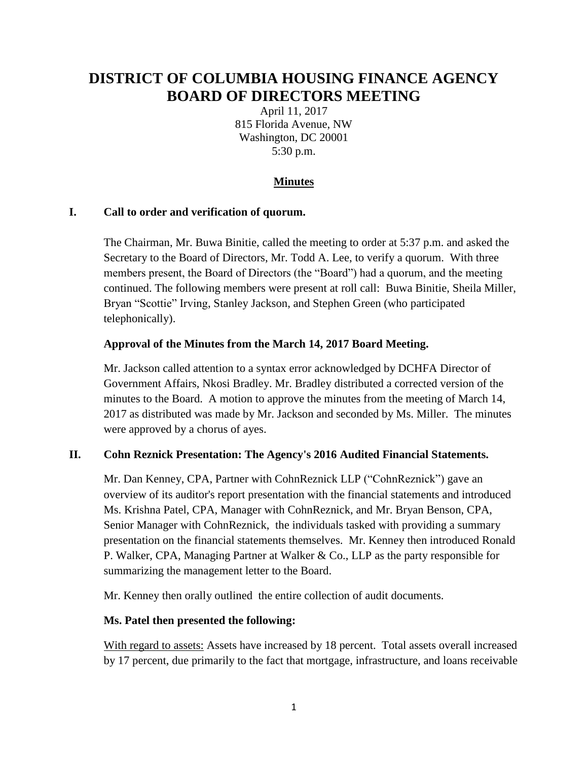# **DISTRICT OF COLUMBIA HOUSING FINANCE AGENCY BOARD OF DIRECTORS MEETING**

April 11, 2017 815 Florida Avenue, NW Washington, DC 20001 5:30 p.m.

# **Minutes**

#### **I. Call to order and verification of quorum.**

The Chairman, Mr. Buwa Binitie, called the meeting to order at 5:37 p.m. and asked the Secretary to the Board of Directors, Mr. Todd A. Lee, to verify a quorum. With three members present, the Board of Directors (the "Board") had a quorum, and the meeting continued. The following members were present at roll call: Buwa Binitie, Sheila Miller, Bryan "Scottie" Irving, Stanley Jackson, and Stephen Green (who participated telephonically).

#### **Approval of the Minutes from the March 14, 2017 Board Meeting.**

Mr. Jackson called attention to a syntax error acknowledged by DCHFA Director of Government Affairs, Nkosi Bradley. Mr. Bradley distributed a corrected version of the minutes to the Board. A motion to approve the minutes from the meeting of March 14, 2017 as distributed was made by Mr. Jackson and seconded by Ms. Miller. The minutes were approved by a chorus of ayes.

#### **II. Cohn Reznick Presentation: The Agency's 2016 Audited Financial Statements.**

Mr. Dan Kenney, CPA, Partner with CohnReznick LLP ("CohnReznick") gave an overview of its auditor's report presentation with the financial statements and introduced Ms. Krishna Patel, CPA, Manager with CohnReznick, and Mr. Bryan Benson, CPA, Senior Manager with CohnReznick, the individuals tasked with providing a summary presentation on the financial statements themselves. Mr. Kenney then introduced Ronald P. Walker, CPA, Managing Partner at Walker & Co., LLP as the party responsible for summarizing the management letter to the Board.

Mr. Kenney then orally outlined the entire collection of audit documents.

#### **Ms. Patel then presented the following:**

With regard to assets: Assets have increased by 18 percent. Total assets overall increased by 17 percent, due primarily to the fact that mortgage, infrastructure, and loans receivable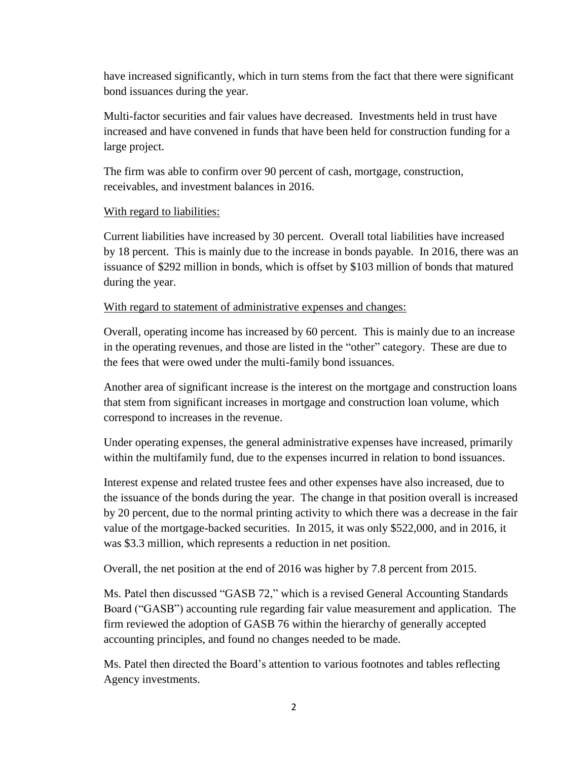have increased significantly, which in turn stems from the fact that there were significant bond issuances during the year.

Multi-factor securities and fair values have decreased. Investments held in trust have increased and have convened in funds that have been held for construction funding for a large project.

The firm was able to confirm over 90 percent of cash, mortgage, construction, receivables, and investment balances in 2016.

## With regard to liabilities:

Current liabilities have increased by 30 percent. Overall total liabilities have increased by 18 percent. This is mainly due to the increase in bonds payable. In 2016, there was an issuance of \$292 million in bonds, which is offset by \$103 million of bonds that matured during the year.

## With regard to statement of administrative expenses and changes:

Overall, operating income has increased by 60 percent. This is mainly due to an increase in the operating revenues, and those are listed in the "other" category. These are due to the fees that were owed under the multi-family bond issuances.

Another area of significant increase is the interest on the mortgage and construction loans that stem from significant increases in mortgage and construction loan volume, which correspond to increases in the revenue.

Under operating expenses, the general administrative expenses have increased, primarily within the multifamily fund, due to the expenses incurred in relation to bond issuances.

Interest expense and related trustee fees and other expenses have also increased, due to the issuance of the bonds during the year. The change in that position overall is increased by 20 percent, due to the normal printing activity to which there was a decrease in the fair value of the mortgage-backed securities. In 2015, it was only \$522,000, and in 2016, it was \$3.3 million, which represents a reduction in net position.

Overall, the net position at the end of 2016 was higher by 7.8 percent from 2015.

Ms. Patel then discussed "GASB 72," which is a revised General Accounting Standards Board ("GASB") accounting rule regarding fair value measurement and application. The firm reviewed the adoption of GASB 76 within the hierarchy of generally accepted accounting principles, and found no changes needed to be made.

Ms. Patel then directed the Board's attention to various footnotes and tables reflecting Agency investments.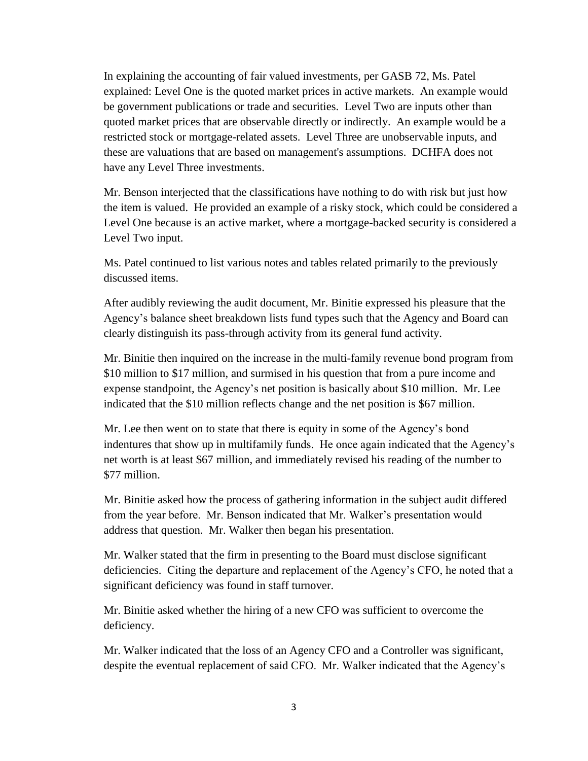In explaining the accounting of fair valued investments, per GASB 72, Ms. Patel explained: Level One is the quoted market prices in active markets. An example would be government publications or trade and securities. Level Two are inputs other than quoted market prices that are observable directly or indirectly. An example would be a restricted stock or mortgage-related assets. Level Three are unobservable inputs, and these are valuations that are based on management's assumptions. DCHFA does not have any Level Three investments.

Mr. Benson interjected that the classifications have nothing to do with risk but just how the item is valued. He provided an example of a risky stock, which could be considered a Level One because is an active market, where a mortgage-backed security is considered a Level Two input.

Ms. Patel continued to list various notes and tables related primarily to the previously discussed items.

After audibly reviewing the audit document, Mr. Binitie expressed his pleasure that the Agency's balance sheet breakdown lists fund types such that the Agency and Board can clearly distinguish its pass-through activity from its general fund activity.

Mr. Binitie then inquired on the increase in the multi-family revenue bond program from \$10 million to \$17 million, and surmised in his question that from a pure income and expense standpoint, the Agency's net position is basically about \$10 million. Mr. Lee indicated that the \$10 million reflects change and the net position is \$67 million.

Mr. Lee then went on to state that there is equity in some of the Agency's bond indentures that show up in multifamily funds. He once again indicated that the Agency's net worth is at least \$67 million, and immediately revised his reading of the number to \$77 million.

Mr. Binitie asked how the process of gathering information in the subject audit differed from the year before. Mr. Benson indicated that Mr. Walker's presentation would address that question. Mr. Walker then began his presentation.

Mr. Walker stated that the firm in presenting to the Board must disclose significant deficiencies. Citing the departure and replacement of the Agency's CFO, he noted that a significant deficiency was found in staff turnover.

Mr. Binitie asked whether the hiring of a new CFO was sufficient to overcome the deficiency.

Mr. Walker indicated that the loss of an Agency CFO and a Controller was significant, despite the eventual replacement of said CFO. Mr. Walker indicated that the Agency's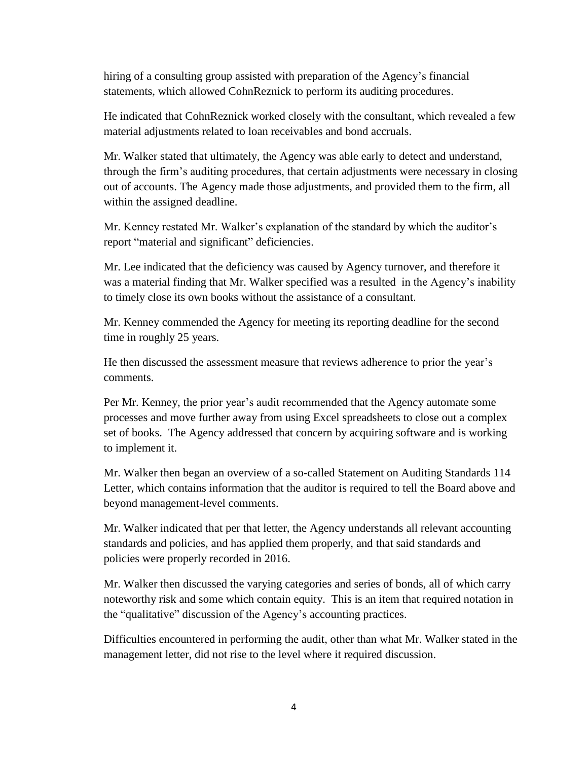hiring of a consulting group assisted with preparation of the Agency's financial statements, which allowed CohnReznick to perform its auditing procedures.

He indicated that CohnReznick worked closely with the consultant, which revealed a few material adjustments related to loan receivables and bond accruals.

Mr. Walker stated that ultimately, the Agency was able early to detect and understand, through the firm's auditing procedures, that certain adjustments were necessary in closing out of accounts. The Agency made those adjustments, and provided them to the firm, all within the assigned deadline.

Mr. Kenney restated Mr. Walker's explanation of the standard by which the auditor's report "material and significant" deficiencies.

Mr. Lee indicated that the deficiency was caused by Agency turnover, and therefore it was a material finding that Mr. Walker specified was a resulted in the Agency's inability to timely close its own books without the assistance of a consultant.

Mr. Kenney commended the Agency for meeting its reporting deadline for the second time in roughly 25 years.

He then discussed the assessment measure that reviews adherence to prior the year's comments.

Per Mr. Kenney, the prior year's audit recommended that the Agency automate some processes and move further away from using Excel spreadsheets to close out a complex set of books. The Agency addressed that concern by acquiring software and is working to implement it.

Mr. Walker then began an overview of a so-called Statement on Auditing Standards 114 Letter, which contains information that the auditor is required to tell the Board above and beyond management-level comments.

Mr. Walker indicated that per that letter, the Agency understands all relevant accounting standards and policies, and has applied them properly, and that said standards and policies were properly recorded in 2016.

Mr. Walker then discussed the varying categories and series of bonds, all of which carry noteworthy risk and some which contain equity. This is an item that required notation in the "qualitative" discussion of the Agency's accounting practices.

Difficulties encountered in performing the audit, other than what Mr. Walker stated in the management letter, did not rise to the level where it required discussion.